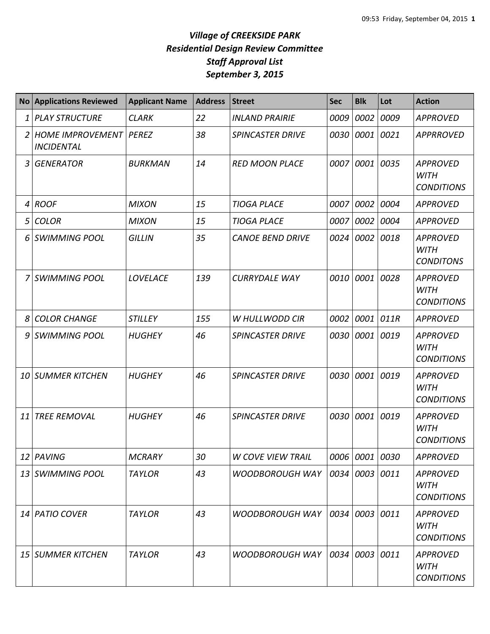## *Village of CREEKSIDE PARK Residential Design Review Committee Staff Approval List September 3, 2015*

|    | <b>No Applications Reviewed</b>                      | <b>Applicant Name</b> | <b>Address</b> | <b>Street</b>            | <b>Sec</b> | <b>Blk</b>     | Lot       | <b>Action</b>                                       |
|----|------------------------------------------------------|-----------------------|----------------|--------------------------|------------|----------------|-----------|-----------------------------------------------------|
| 1  | <b>PLAY STRUCTURE</b>                                | <b>CLARK</b>          | 22             | <b>INLAND PRAIRIE</b>    | 0009       | 0002           | 0009      | <b>APPROVED</b>                                     |
| 2  | <b>HOME IMPROVEMENT   PEREZ</b><br><b>INCIDENTAL</b> |                       | 38             | <b>SPINCASTER DRIVE</b>  | 0030       | 0001           | 0021      | <b>APPRROVED</b>                                    |
| 3  | <b>GENERATOR</b>                                     | <b>BURKMAN</b>        | 14             | <b>RED MOON PLACE</b>    | 0007       | 0001           | 0035      | <b>APPROVED</b><br><b>WITH</b><br><b>CONDITIONS</b> |
| 4  | <b>ROOF</b>                                          | <b>MIXON</b>          | 15             | <b>TIOGA PLACE</b>       | 0007       | 0002           | 0004      | <b>APPROVED</b>                                     |
| 5  | <b>COLOR</b>                                         | <b>MIXON</b>          | 15             | <b>TIOGA PLACE</b>       | 0007       | 0002           | 0004      | APPROVED                                            |
| 6  | <b>SWIMMING POOL</b>                                 | <b>GILLIN</b>         | 35             | <b>CANOE BEND DRIVE</b>  | 0024       | 0002           | 0018      | <b>APPROVED</b><br><b>WITH</b><br><b>CONDITONS</b>  |
| 7  | <b>SWIMMING POOL</b>                                 | <b>LOVELACE</b>       | 139            | <b>CURRYDALE WAY</b>     | 0010       | 0001           | 0028      | <b>APPROVED</b><br><b>WITH</b><br><b>CONDITIONS</b> |
| 8  | <b>COLOR CHANGE</b>                                  | <b>STILLEY</b>        | 155            | W HULLWODD CIR           | 0002       | 0001 011R      |           | <b>APPROVED</b>                                     |
| 9  | <b>SWIMMING POOL</b>                                 | <b>HUGHEY</b>         | 46             | <b>SPINCASTER DRIVE</b>  | 0030       |                | 0001 0019 | <b>APPROVED</b><br><b>WITH</b><br><b>CONDITIONS</b> |
|    | 10 SUMMER KITCHEN                                    | <b>HUGHEY</b>         | 46             | <b>SPINCASTER DRIVE</b>  | 0030       | 0001           | 0019      | <b>APPROVED</b><br><b>WITH</b><br><b>CONDITIONS</b> |
| 11 | <b>TREE REMOVAL</b>                                  | <b>HUGHEY</b>         | 46             | <b>SPINCASTER DRIVE</b>  | 0030       | 0001 0019      |           | <b>APPROVED</b><br><b>WITH</b><br><b>CONDITIONS</b> |
|    | 12 PAVING                                            | <b>MCRARY</b>         | 30             | <b>W COVE VIEW TRAIL</b> |            | 0006 0001 0030 |           | <b>APPROVED</b>                                     |
|    | 13 SWIMMING POOL                                     | <b>TAYLOR</b>         | 43             | <b>WOODBOROUGH WAY</b>   | 0034       | 0003 0011      |           | <b>APPROVED</b><br><b>WITH</b><br><b>CONDITIONS</b> |
|    | 14 PATIO COVER                                       | <b>TAYLOR</b>         | 43             | <b>WOODBOROUGH WAY</b>   | 0034       | 0003 0011      |           | <b>APPROVED</b><br>WITH<br><b>CONDITIONS</b>        |
| 15 | SUMMER KITCHEN                                       | <b>TAYLOR</b>         | 43             | <b>WOODBOROUGH WAY</b>   | 0034       | 0003 0011      |           | <b>APPROVED</b><br><b>WITH</b><br><b>CONDITIONS</b> |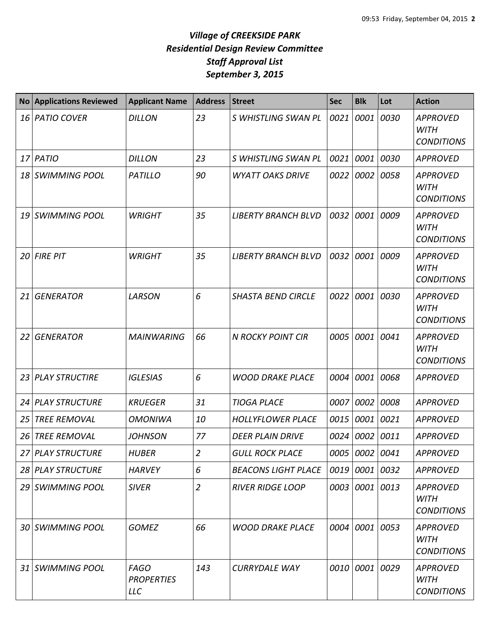## *Village of CREEKSIDE PARK Residential Design Review Committee Staff Approval List September 3, 2015*

| <b>No</b> | <b>Applications Reviewed</b> | <b>Applicant Name</b>                          | <b>Address</b> | <b>Street</b>              | <b>Sec</b> | <b>Blk</b>     | Lot       | <b>Action</b>                                       |
|-----------|------------------------------|------------------------------------------------|----------------|----------------------------|------------|----------------|-----------|-----------------------------------------------------|
| 16        | <b>PATIO COVER</b>           | <b>DILLON</b>                                  | 23             | S WHISTLING SWAN PL        | 0021       | 0001           | 0030      | <b>APPROVED</b><br><b>WITH</b><br><b>CONDITIONS</b> |
| 17        | <b>PATIO</b>                 | <b>DILLON</b>                                  | 23             | S WHISTLING SWAN PL        | 0021       |                | 0001 0030 | <b>APPROVED</b>                                     |
| 18        | <b>SWIMMING POOL</b>         | <b>PATILLO</b>                                 | 90             | <b>WYATT OAKS DRIVE</b>    | 0022       |                | 0002 0058 | <b>APPROVED</b><br><b>WITH</b><br><b>CONDITIONS</b> |
| 19        | <b>SWIMMING POOL</b>         | <b>WRIGHT</b>                                  | 35             | <b>LIBERTY BRANCH BLVD</b> | 0032       | 0001           | 0009      | <b>APPROVED</b><br><b>WITH</b><br><b>CONDITIONS</b> |
| 20        | <b>FIRE PIT</b>              | <b>WRIGHT</b>                                  | 35             | <b>LIBERTY BRANCH BLVD</b> | 0032       | 0001           | 0009      | <b>APPROVED</b><br><b>WITH</b><br><b>CONDITIONS</b> |
| 21        | <b>GENERATOR</b>             | <b>LARSON</b>                                  | 6              | <b>SHASTA BEND CIRCLE</b>  | 0022       | 0001           | 0030      | <b>APPROVED</b><br><b>WITH</b><br><b>CONDITIONS</b> |
| 22        | <b>GENERATOR</b>             | <b>MAINWARING</b>                              | 66             | <b>N ROCKY POINT CIR</b>   | 0005       | 0001           | 0041      | <b>APPROVED</b><br><b>WITH</b><br><b>CONDITIONS</b> |
| 23        | <b>PLAY STRUCTIRE</b>        | <b>IGLESIAS</b>                                | 6              | <b>WOOD DRAKE PLACE</b>    | 0004       | 0001           | 0068      | <b>APPROVED</b>                                     |
| 24        | <b>PLAY STRUCTURE</b>        | <b>KRUEGER</b>                                 | 31             | <b>TIOGA PLACE</b>         | 0007       | 0002           | 0008      | APPROVED                                            |
| 25        | <b>TREE REMOVAL</b>          | <b>OMONIWA</b>                                 | 10             | <b>HOLLYFLOWER PLACE</b>   | 0015       | 0001 0021      |           | <b>APPROVED</b>                                     |
| 26        | <b>TREE REMOVAL</b>          | <b>JOHNSON</b>                                 | 77             | <b>DEER PLAIN DRIVE</b>    | 0024       | 0002           | 0011      | <b>APPROVED</b>                                     |
|           | 27 PLAY STRUCTURE            | <b>HUBER</b>                                   | $\overline{2}$ | <b>GULL ROCK PLACE</b>     |            | 0005 0002 0041 |           | <b>APPROVED</b>                                     |
|           | 28 PLAY STRUCTURE            | <b>HARVEY</b>                                  | 6              | <b>BEACONS LIGHT PLACE</b> |            | 0019 0001 0032 |           | <b>APPROVED</b>                                     |
|           | 29 SWIMMING POOL             | <b>SIVER</b>                                   | $\overline{2}$ | <b>RIVER RIDGE LOOP</b>    |            | 0003 0001 0013 |           | <b>APPROVED</b><br><b>WITH</b><br><b>CONDITIONS</b> |
|           | 30 SWIMMING POOL             | <b>GOMEZ</b>                                   | 66             | <b>WOOD DRAKE PLACE</b>    |            | 0004 0001 0053 |           | <b>APPROVED</b><br><b>WITH</b><br><b>CONDITIONS</b> |
|           | 31 SWIMMING POOL             | <b>FAGO</b><br><b>PROPERTIES</b><br><b>LLC</b> | 143            | <b>CURRYDALE WAY</b>       |            | 0010 0001 0029 |           | <b>APPROVED</b><br><b>WITH</b><br><b>CONDITIONS</b> |